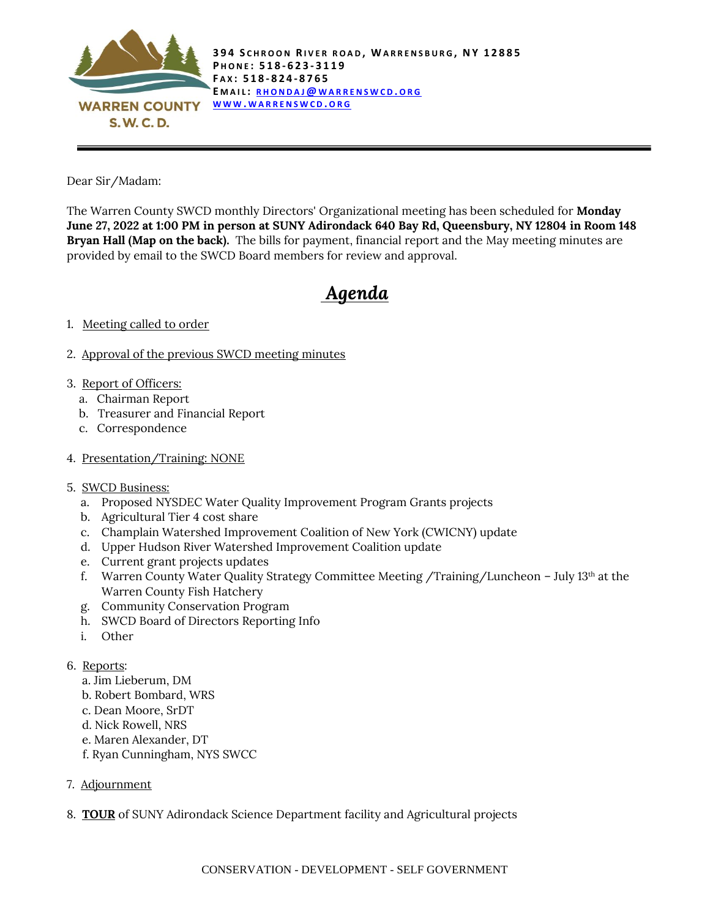

Dear Sir/Madam:

The Warren County SWCD monthly Directors' Organizational meeting has been scheduled for **Monday June 27, 2022 at 1:00 PM in person at SUNY Adirondack 640 Bay Rd, Queensbury, NY 12804 in Room 148 Bryan Hall (Map on the back).** The bills for payment, financial report and the May meeting minutes are provided by email to the SWCD Board members for review and approval.

## *Agenda*

## 1. Meeting called to order

- 2. Approval of the previous SWCD meeting minutes
- 3. Report of Officers:
	- a. Chairman Report
	- b. Treasurer and Financial Report
	- c. Correspondence
- 4. Presentation/Training: NONE
- 5. SWCD Business:
	- a. Proposed NYSDEC Water Quality Improvement Program Grants projects
	- b. Agricultural Tier 4 cost share
	- c. Champlain Watershed Improvement Coalition of New York (CWICNY) update
	- d. Upper Hudson River Watershed Improvement Coalition update
	- e. Current grant projects updates
	- f. Warren County Water Quality Strategy Committee Meeting /Training/Luncheon July 13th at the Warren County Fish Hatchery
	- g. Community Conservation Program
	- h. SWCD Board of Directors Reporting Info
	- i. Other
- 6. Reports:
	- a. Jim Lieberum, DM
	- b. Robert Bombard, WRS
	- c. Dean Moore, SrDT
	- d. Nick Rowell, NRS
	- e. Maren Alexander, DT
	- f. Ryan Cunningham, NYS SWCC
- 7. Adjournment
- 8. **TOUR** of SUNY Adirondack Science Department facility and Agricultural projects